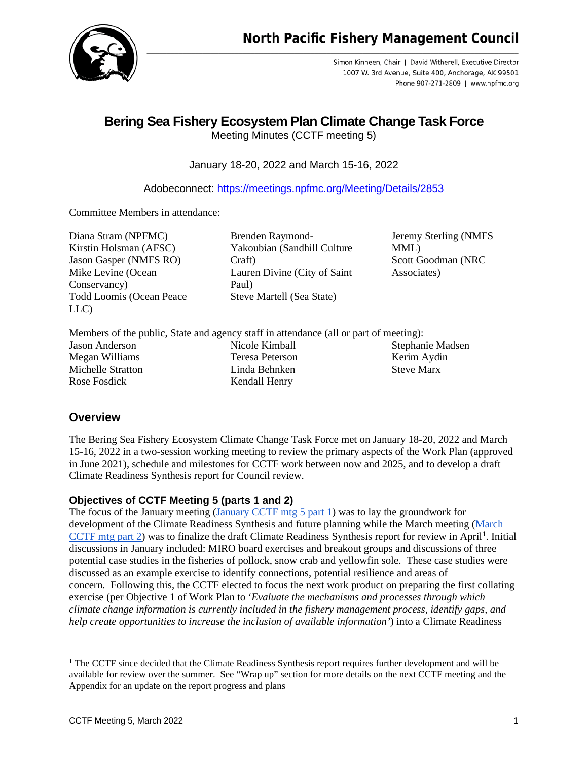

Simon Kinneen, Chair | David Witherell, Executive Director 1007 W. 3rd Avenue, Suite 400, Anchorage, AK 99501 Phone 907-271-2809 | www.npfmc.org

# **Bering Sea Fishery Ecosystem Plan Climate Change Task Force**

Meeting Minutes (CCTF meeting 5)

January 18-20, 2022 and March 15-16, 2022

Adobeconnect:<https://meetings.npfmc.org/Meeting/Details/2853>

Committee Members in attendance:

Diana Stram (NPFMC) Kirstin Holsman (AFSC) Jason Gasper (NMFS RO) Mike Levine (Ocean Conservancy) Todd Loomis (Ocean Peace LLC)

Brenden Raymond-Yakoubian (Sandhill Culture Craft) Lauren Divine (City of Saint Paul) Steve Martell (Sea State)

Jeremy Sterling (NMFS MML) Scott Goodman (NRC Associates)

|                   | Members of the public, State and agency staff in attendance (all or part of meeting): |                   |
|-------------------|---------------------------------------------------------------------------------------|-------------------|
| Jason Anderson    | Nicole Kimball                                                                        | Stephanie Madsen  |
| Megan Williams    | Teresa Peterson                                                                       | Kerim Aydin       |
| Michelle Stratton | Linda Behnken                                                                         | <b>Steve Marx</b> |
| Rose Fosdick      | Kendall Henry                                                                         |                   |

# **Overview**

The Bering Sea Fishery Ecosystem Climate Change Task Force met on January 18-20, 2022 and March 15-16, 2022 in a two-session working meeting to review the primary aspects of the Work Plan (approved in June 2021), schedule and milestones for CCTF work between now and 2025, and to develop a draft Climate Readiness Synthesis report for Council review.

# **Objectives of CCTF Meeting 5 (parts 1 and 2)**

The focus of the January meeting [\(January CCTF mtg 5 part 1\)](https://meetings.npfmc.org/Meeting/Details/2734) was to lay the groundwork for development of the Climate Readiness Synthesis and future planning while the March meeting [\(March](https://meetings.npfmc.org/Meeting/Details/2853)   $CCTF$  mtg part 2) was to finalize the draft Climate Readiness Synthesis report for review in April<sup>[1](#page-0-0)</sup>. Initial discussions in January included: MIRO board exercises and breakout groups and discussions of three potential case studies in the fisheries of pollock, snow crab and yellowfin sole. These case studies were discussed as an example exercise to identify connections, potential resilience and areas of concern. Following this, the CCTF elected to focus the next work product on preparing the first collating exercise (per Objective 1 of Work Plan to '*Evaluate the mechanisms and processes through which climate change information is currently included in the fishery management process, identify gaps, and help create opportunities to increase the inclusion of available information'*) into a Climate Readiness

<span id="page-0-0"></span><sup>&</sup>lt;sup>1</sup> The CCTF since decided that the Climate Readiness Synthesis report requires further development and will be available for review over the summer. See "Wrap up" section for more details on the next CCTF meeting and the Appendix for an update on the report progress and plans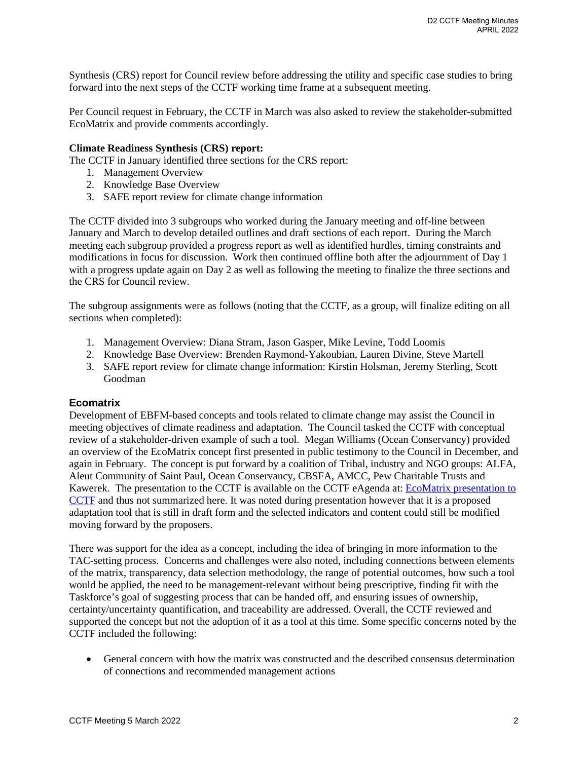Synthesis (CRS) report for Council review before addressing the utility and specific case studies to bring forward into the next steps of the CCTF working time frame at a subsequent meeting.

Per Council request in February, the CCTF in March was also asked to review the stakeholder-submitted EcoMatrix and provide comments accordingly.

### **Climate Readiness Synthesis (CRS) report:**

The CCTF in January identified three sections for the CRS report:

- 1. Management Overview
- 2. Knowledge Base Overview
- 3. SAFE report review for climate change information

The CCTF divided into 3 subgroups who worked during the January meeting and off-line between January and March to develop detailed outlines and draft sections of each report. During the March meeting each subgroup provided a progress report as well as identified hurdles, timing constraints and modifications in focus for discussion. Work then continued offline both after the adjournment of Day 1 with a progress update again on Day 2 as well as following the meeting to finalize the three sections and the CRS for Council review.

The subgroup assignments were as follows (noting that the CCTF, as a group, will finalize editing on all sections when completed):

- 1. Management Overview: Diana Stram, Jason Gasper, Mike Levine, Todd Loomis
- 2. Knowledge Base Overview: Brenden Raymond-Yakoubian, Lauren Divine, Steve Martell
- 3. SAFE report review for climate change information: Kirstin Holsman, Jeremy Sterling, Scott Goodman

## **Ecomatrix**

Development of EBFM-based concepts and tools related to climate change may assist the Council in meeting objectives of climate readiness and adaptation. The Council tasked the CCTF with conceptual review of a stakeholder-driven example of such a tool. Megan Williams (Ocean Conservancy) provided an overview of the EcoMatrix concept first presented in public testimony to the Council in December, and again in February. The concept is put forward by a coalition of Tribal, industry and NGO groups: ALFA, Aleut Community of Saint Paul, Ocean Conservancy, CBSFA, AMCC, Pew Charitable Trusts and Kawerek. The presentation to the CCTF is available on the CCTF eAgenda at: EcoMatrix presentation to [CCTF](https://meetings.npfmc.org/CommentReview/DownloadFile?p=983001f4-9d4e-4eef-aab2-3d17755589d4.pdf&fileName=Matrix_CCTF_March152022_share.pdf) and thus not summarized here. It was noted during presentation however that it is a proposed adaptation tool that is still in draft form and the selected indicators and content could still be modified moving forward by the proposers.

There was support for the idea as a concept, including the idea of bringing in more information to the TAC-setting process. Concerns and challenges were also noted, including connections between elements of the matrix, transparency, data selection methodology, the range of potential outcomes, how such a tool would be applied, the need to be management-relevant without being prescriptive, finding fit with the Taskforce's goal of suggesting process that can be handed off, and ensuring issues of ownership, certainty/uncertainty quantification, and traceability are addressed. Overall, the CCTF reviewed and supported the concept but not the adoption of it as a tool at this time. Some specific concerns noted by the CCTF included the following:

• General concern with how the matrix was constructed and the described consensus determination of connections and recommended management actions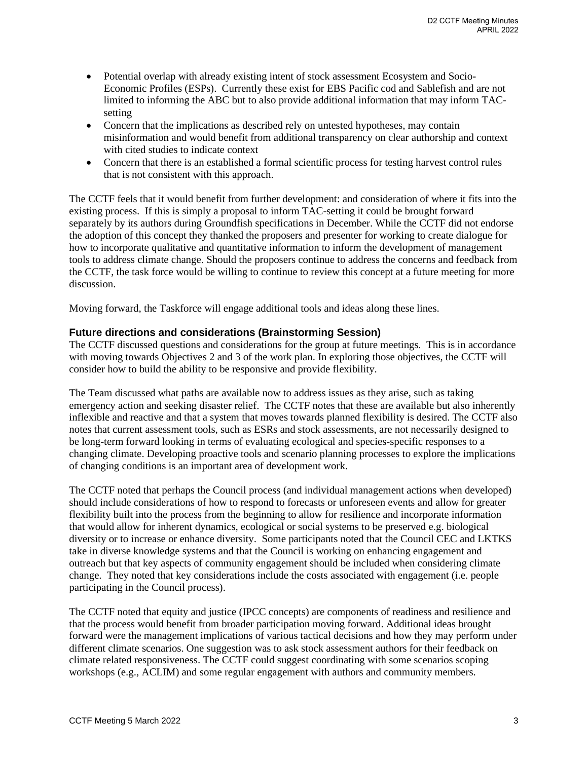- Potential overlap with already existing intent of stock assessment Ecosystem and Socio-Economic Profiles (ESPs). Currently these exist for EBS Pacific cod and Sablefish and are not limited to informing the ABC but to also provide additional information that may inform TACsetting
- Concern that the implications as described rely on untested hypotheses, may contain misinformation and would benefit from additional transparency on clear authorship and context with cited studies to indicate context
- Concern that there is an established a formal scientific process for testing harvest control rules that is not consistent with this approach.

The CCTF feels that it would benefit from further development: and consideration of where it fits into the existing process. If this is simply a proposal to inform TAC-setting it could be brought forward separately by its authors during Groundfish specifications in December. While the CCTF did not endorse the adoption of this concept they thanked the proposers and presenter for working to create dialogue for how to incorporate qualitative and quantitative information to inform the development of management tools to address climate change. Should the proposers continue to address the concerns and feedback from the CCTF, the task force would be willing to continue to review this concept at a future meeting for more discussion.

Moving forward, the Taskforce will engage additional tools and ideas along these lines.

## **Future directions and considerations (Brainstorming Session)**

The CCTF discussed questions and considerations for the group at future meetings. This is in accordance with moving towards Objectives 2 and 3 of the work plan. In exploring those objectives, the CCTF will consider how to build the ability to be responsive and provide flexibility.

The Team discussed what paths are available now to address issues as they arise, such as taking emergency action and seeking disaster relief. The CCTF notes that these are available but also inherently inflexible and reactive and that a system that moves towards planned flexibility is desired. The CCTF also notes that current assessment tools, such as ESRs and stock assessments, are not necessarily designed to be long-term forward looking in terms of evaluating ecological and species-specific responses to a changing climate. Developing proactive tools and scenario planning processes to explore the implications of changing conditions is an important area of development work.

The CCTF noted that perhaps the Council process (and individual management actions when developed) should include considerations of how to respond to forecasts or unforeseen events and allow for greater flexibility built into the process from the beginning to allow for resilience and incorporate information that would allow for inherent dynamics, ecological or social systems to be preserved e.g. biological diversity or to increase or enhance diversity. Some participants noted that the Council CEC and LKTKS take in diverse knowledge systems and that the Council is working on enhancing engagement and outreach but that key aspects of community engagement should be included when considering climate change. They noted that key considerations include the costs associated with engagement (i.e. people participating in the Council process).

The CCTF noted that equity and justice (IPCC concepts) are components of readiness and resilience and that the process would benefit from broader participation moving forward. Additional ideas brought forward were the management implications of various tactical decisions and how they may perform under different climate scenarios. One suggestion was to ask stock assessment authors for their feedback on climate related responsiveness. The CCTF could suggest coordinating with some scenarios scoping workshops (e.g., ACLIM) and some regular engagement with authors and community members.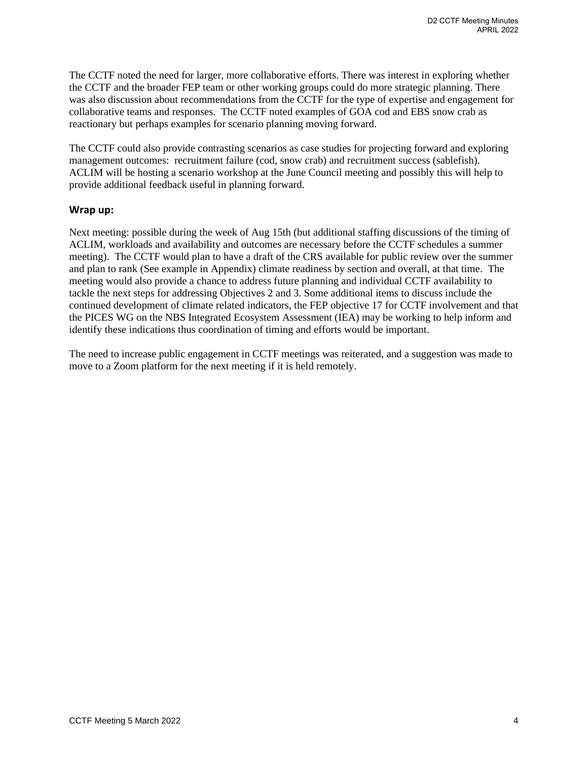The CCTF noted the need for larger, more collaborative efforts. There was interest in exploring whether the CCTF and the broader FEP team or other working groups could do more strategic planning. There was also discussion about recommendations from the CCTF for the type of expertise and engagement for collaborative teams and responses. The CCTF noted examples of GOA cod and EBS snow crab as reactionary but perhaps examples for scenario planning moving forward.

The CCTF could also provide contrasting scenarios as case studies for projecting forward and exploring management outcomes: recruitment failure (cod, snow crab) and recruitment success (sablefish). ACLIM will be hosting a scenario workshop at the June Council meeting and possibly this will help to provide additional feedback useful in planning forward.

## **Wrap up:**

Next meeting: possible during the week of Aug 15th (but additional staffing discussions of the timing of ACLIM, workloads and availability and outcomes are necessary before the CCTF schedules a summer meeting). The CCTF would plan to have a draft of the CRS available for public review over the summer and plan to rank (See example in Appendix) climate readiness by section and overall, at that time. The meeting would also provide a chance to address future planning and individual CCTF availability to tackle the next steps for addressing Objectives 2 and 3. Some additional items to discuss include the continued development of climate related indicators, the FEP objective 17 for CCTF involvement and that the PICES WG on the NBS Integrated Ecosystem Assessment (IEA) may be working to help inform and identify these indications thus coordination of timing and efforts would be important.

The need to increase public engagement in CCTF meetings was reiterated, and a suggestion was made to move to a Zoom platform for the next meeting if it is held remotely.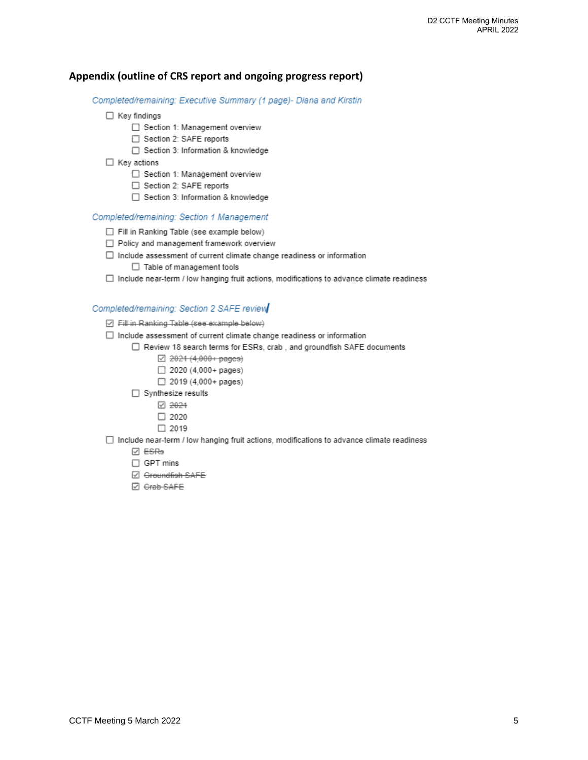## Appendix (outline of CRS report and ongoing progress report)

Completed/remaining: Executive Summary (1 page)- Diana and Kirstin

- $\Box$  Key findings
	- □ Section 1: Management overview
	- □ Section 2: SAFE reports
	- □ Section 3: Information & knowledge
- $\Box$  Key actions
	- □ Section 1: Management overview
	- □ Section 2: SAFE reports
	- □ Section 3: Information & knowledge

#### Completed/remaining: Section 1 Management

- Fill in Ranking Table (see example below)
- □ Policy and management framework overview
- $\Box$  Include assessment of current climate change readiness or information
	- $\Box$  Table of management tools
- $\Box$  Include near-term / low hanging fruit actions, modifications to advance climate readiness

#### Completed/remaining: Section 2 SAFE review

- ☑ Fill in Ranking Table (see example below)
- $\Box$  Include assessment of current climate change readiness or information
	- □ Review 18 search terms for ESRs, crab, and groundfish SAFE documents
		- 2021 (4,000 + pages)
		- $\Box$  2020 (4,000+ pages)
		- $\Box$  2019 (4,000+ pages)
		- □ Synthesize results
			- 2024
			- $\Box$  2020
			- $\Box$  2019
- $\Box$  Include near-term / low hanging fruit actions, modifications to advance climate readiness
	- **Ø** ESRe
	- $\Box$  GPT mins
	- □ Groundfish SAFE
	- ☑ Grab SAFE